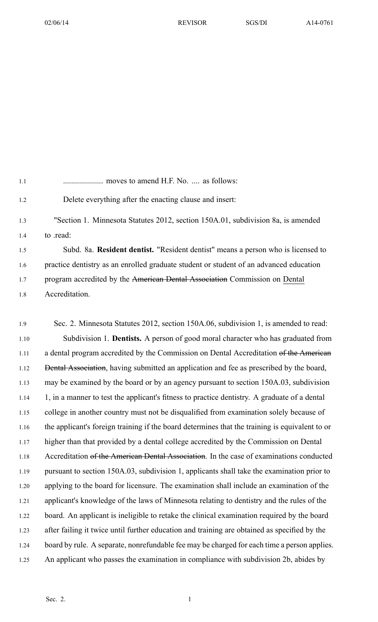| 1.1        |                                                                                        |
|------------|----------------------------------------------------------------------------------------|
| 1.2        | Delete everything after the enacting clause and insert:                                |
| 1.3        | "Section 1. Minnesota Statutes 2012, section 150A.01, subdivision 8a, is amended       |
| 1.4        | to read:                                                                               |
| 1.5        | Subd. 8a. Resident dentist. "Resident dentist" means a person who is licensed to       |
| 1.6        | practice dentistry as an enrolled graduate student or student of an advanced education |
| 1.7        | program accredited by the American Dental Association Commission on Dental             |
| $1 \Omega$ | <i>Accreditation</i>                                                                   |

1.8 Accreditation.

1.9 Sec. 2. Minnesota Statutes 2012, section 150A.06, subdivision 1, is amended to read: 1.10 Subdivision 1. **Dentists.** A person of good moral character who has graduated from 1.11 a dental program accredited by the Commission on Dental Accreditation of the American 1.12 Dental Association, having submitted an application and fee as prescribed by the board, 1.13 may be examined by the board or by an agency pursuan<sup>t</sup> to section 150A.03, subdivision 1.14 1, in <sup>a</sup> manner to test the applicant's fitness to practice dentistry. A graduate of <sup>a</sup> dental 1.15 college in another country must not be disqualified from examination solely because of 1.16 the applicant's foreign training if the board determines that the training is equivalent to or 1.17 higher than that provided by <sup>a</sup> dental college accredited by the Commission on Dental 1.18 Accreditation of the American Dental Association. In the case of examinations conducted 1.19 pursuan<sup>t</sup> to section 150A.03, subdivision 1, applicants shall take the examination prior to 1.20 applying to the board for licensure. The examination shall include an examination of the 1.21 applicant's knowledge of the laws of Minnesota relating to dentistry and the rules of the 1.22 board. An applicant is ineligible to retake the clinical examination required by the board 1.23 after failing it twice until further education and training are obtained as specified by the 1.24 board by rule. A separate, nonrefundable fee may be charged for each time <sup>a</sup> person applies. 1.25 An applicant who passes the examination in compliance with subdivision 2b, abides by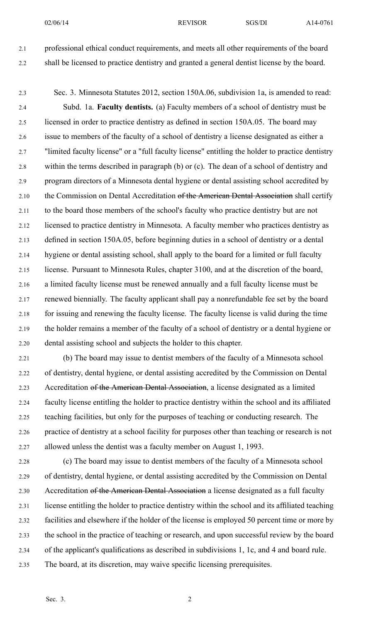2.1 professional ethical conduct requirements, and meets all other requirements of the board 2.2 shall be licensed to practice dentistry and granted <sup>a</sup> general dentist license by the board.

2.3 Sec. 3. Minnesota Statutes 2012, section 150A.06, subdivision 1a, is amended to read: 2.4 Subd. 1a. **Faculty dentists.** (a) Faculty members of <sup>a</sup> school of dentistry must be 2.5 licensed in order to practice dentistry as defined in section 150A.05. The board may 2.6 issue to members of the faculty of <sup>a</sup> school of dentistry <sup>a</sup> license designated as either <sup>a</sup> 2.7 "limited faculty license" or <sup>a</sup> "full faculty license" entitling the holder to practice dentistry 2.8 within the terms described in paragraph (b) or (c). The dean of <sup>a</sup> school of dentistry and 2.9 program directors of <sup>a</sup> Minnesota dental hygiene or dental assisting school accredited by 2.10 the Commission on Dental Accreditation of the American Dental Association shall certify 2.11 to the board those members of the school's faculty who practice dentistry but are not 2.12 licensed to practice dentistry in Minnesota. A faculty member who practices dentistry as 2.13 defined in section 150A.05, before beginning duties in <sup>a</sup> school of dentistry or <sup>a</sup> dental 2.14 hygiene or dental assisting school, shall apply to the board for <sup>a</sup> limited or full faculty 2.15 license. Pursuant to Minnesota Rules, chapter 3100, and at the discretion of the board, 2.16 <sup>a</sup> limited faculty license must be renewed annually and <sup>a</sup> full faculty license must be 2.17 renewed biennially. The faculty applicant shall pay <sup>a</sup> nonrefundable fee set by the board 2.18 for issuing and renewing the faculty license. The faculty license is valid during the time 2.19 the holder remains <sup>a</sup> member of the faculty of <sup>a</sup> school of dentistry or <sup>a</sup> dental hygiene or 2.20 dental assisting school and subjects the holder to this chapter.

2.21 (b) The board may issue to dentist members of the faculty of <sup>a</sup> Minnesota school 2.22 of dentistry, dental hygiene, or dental assisting accredited by the Commission on Dental 2.23 Accreditation of the American Dental Association, <sup>a</sup> license designated as <sup>a</sup> limited 2.24 faculty license entitling the holder to practice dentistry within the school and its affiliated 2.25 teaching facilities, but only for the purposes of teaching or conducting research. The 2.26 practice of dentistry at <sup>a</sup> school facility for purposes other than teaching or research is not 2.27 allowed unless the dentist was <sup>a</sup> faculty member on August 1, 1993.

2.28 (c) The board may issue to dentist members of the faculty of <sup>a</sup> Minnesota school 2.29 of dentistry, dental hygiene, or dental assisting accredited by the Commission on Dental 2.30 Accreditation of the American Dental Association a license designated as a full faculty 2.31 license entitling the holder to practice dentistry within the school and its affiliated teaching 2.32 facilities and elsewhere if the holder of the license is employed 50 percen<sup>t</sup> time or more by 2.33 the school in the practice of teaching or research, and upon successful review by the board 2.34 of the applicant's qualifications as described in subdivisions 1, 1c, and 4 and board rule. 2.35 The board, at its discretion, may waive specific licensing prerequisites.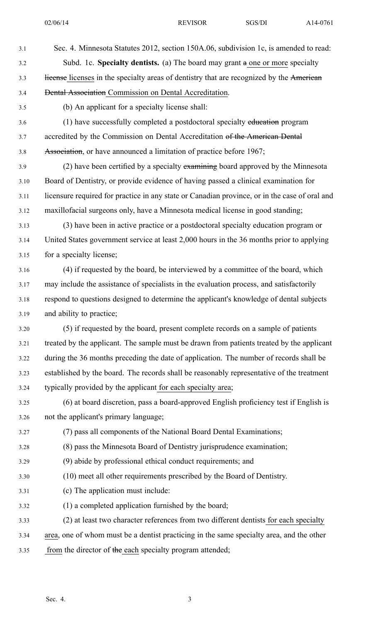| 3.1  | Sec. 4. Minnesota Statutes 2012, section 150A.06, subdivision 1c, is amended to read:         |
|------|-----------------------------------------------------------------------------------------------|
| 3.2  | Subd. 1c. Specialty dentists. (a) The board may grant a one or more specialty                 |
| 3.3  | Hicense licenses in the specialty areas of dentistry that are recognized by the American      |
| 3.4  | <b>Dental Association</b> Commission on Dental Accreditation.                                 |
| 3.5  | (b) An applicant for a specialty license shall:                                               |
| 3.6  | (1) have successfully completed a postdoctoral specialty education program                    |
| 3.7  | accredited by the Commission on Dental Accreditation of the American Dental                   |
| 3.8  | Association, or have announced a limitation of practice before 1967;                          |
| 3.9  | (2) have been certified by a specialty examining board approved by the Minnesota              |
| 3.10 | Board of Dentistry, or provide evidence of having passed a clinical examination for           |
| 3.11 | licensure required for practice in any state or Canadian province, or in the case of oral and |
| 3.12 | maxillofacial surgeons only, have a Minnesota medical license in good standing;               |
| 3.13 | (3) have been in active practice or a postdoctoral specialty education program or             |
| 3.14 | United States government service at least 2,000 hours in the 36 months prior to applying      |
| 3.15 | for a specialty license;                                                                      |
| 3.16 | (4) if requested by the board, be interviewed by a committee of the board, which              |
| 3.17 | may include the assistance of specialists in the evaluation process, and satisfactorily       |
| 3.18 | respond to questions designed to determine the applicant's knowledge of dental subjects       |
| 3.19 | and ability to practice;                                                                      |
| 3.20 | (5) if requested by the board, present complete records on a sample of patients               |
| 3.21 | treated by the applicant. The sample must be drawn from patients treated by the applicant     |
| 3.22 | during the 36 months preceding the date of application. The number of records shall be        |
| 3.23 | established by the board. The records shall be reasonably representative of the treatment     |
| 3.24 | typically provided by the applicant for each specialty area;                                  |
| 3.25 | (6) at board discretion, pass a board-approved English proficiency test if English is         |
| 3.26 | not the applicant's primary language;                                                         |
| 3.27 | (7) pass all components of the National Board Dental Examinations;                            |
| 3.28 | (8) pass the Minnesota Board of Dentistry jurisprudence examination;                          |
| 3.29 | (9) abide by professional ethical conduct requirements; and                                   |
| 3.30 | (10) meet all other requirements prescribed by the Board of Dentistry.                        |
| 3.31 | (c) The application must include:                                                             |
| 3.32 | (1) a completed application furnished by the board;                                           |
| 3.33 | (2) at least two character references from two different dentists for each specialty          |
| 3.34 | area, one of whom must be a dentist practicing in the same specialty area, and the other      |
| 3.35 | from the director of the each specialty program attended;                                     |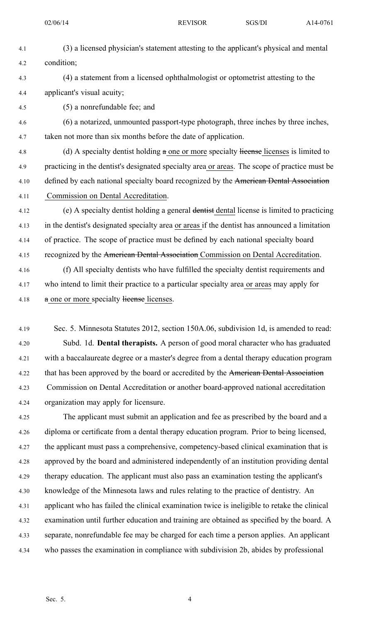| 4.1  | (3) a licensed physician's statement attesting to the applicant's physical and mental         |
|------|-----------------------------------------------------------------------------------------------|
| 4.2  | condition;                                                                                    |
| 4.3  | (4) a statement from a licensed ophthalmologist or optometrist attesting to the               |
| 4.4  | applicant's visual acuity;                                                                    |
| 4.5  | (5) a nonrefundable fee; and                                                                  |
| 4.6  | (6) a notarized, unmounted passport-type photograph, three inches by three inches,            |
| 4.7  | taken not more than six months before the date of application.                                |
| 4.8  | (d) A specialty dentist holding $a$ one or more specialty lieense licenses is limited to      |
| 4.9  | practicing in the dentist's designated specialty area or areas. The scope of practice must be |
| 4.10 | defined by each national specialty board recognized by the American Dental Association        |
| 4.11 | Commission on Dental Accreditation.                                                           |
| 4.12 | (e) A specialty dentist holding a general dentist dental license is limited to practicing     |
| 4.13 | in the dentist's designated specialty area or areas if the dentist has announced a limitation |
| 4.14 | of practice. The scope of practice must be defined by each national specialty board           |
| 4.15 | recognized by the American Dental Association Commission on Dental Accreditation.             |
| 4.16 | (f) All specialty dentists who have fulfilled the specialty dentist requirements and          |
| 4.17 | who intend to limit their practice to a particular specialty area or areas may apply for      |
| 4.18 | a one or more specialty license licenses.                                                     |
|      |                                                                                               |

4.19 Sec. 5. Minnesota Statutes 2012, section 150A.06, subdivision 1d, is amended to read: 4.20 Subd. 1d. **Dental therapists.** A person of good moral character who has graduated 4.21 with <sup>a</sup> baccalaureate degree or <sup>a</sup> master's degree from <sup>a</sup> dental therapy education program 4.22 that has been approved by the board or accredited by the American Dental Association 4.23 Commission on Dental Accreditation or another board-approved national accreditation 4.24 organization may apply for licensure.

4.25 The applicant must submit an application and fee as prescribed by the board and <sup>a</sup> 4.26 diploma or certificate from <sup>a</sup> dental therapy education program. Prior to being licensed, 4.27 the applicant must pass <sup>a</sup> comprehensive, competency-based clinical examination that is 4.28 approved by the board and administered independently of an institution providing dental 4.29 therapy education. The applicant must also pass an examination testing the applicant's 4.30 knowledge of the Minnesota laws and rules relating to the practice of dentistry. An 4.31 applicant who has failed the clinical examination twice is ineligible to retake the clinical 4.32 examination until further education and training are obtained as specified by the board. A 4.33 separate, nonrefundable fee may be charged for each time <sup>a</sup> person applies. An applicant 4.34 who passes the examination in compliance with subdivision 2b, abides by professional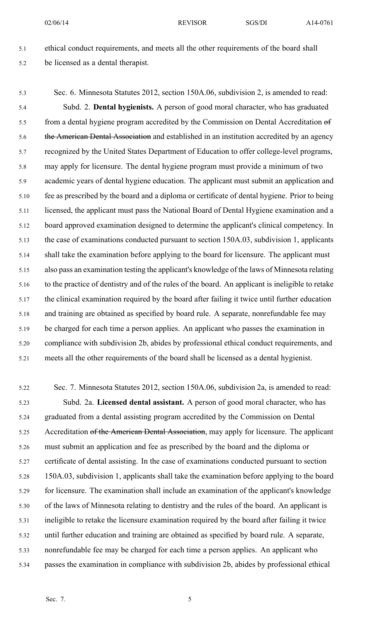5.1 ethical conduct requirements, and meets all the other requirements of the board shall 5.2 be licensed as <sup>a</sup> dental therapist.

5.3 Sec. 6. Minnesota Statutes 2012, section 150A.06, subdivision 2, is amended to read: 5.4 Subd. 2. **Dental hygienists.** A person of good moral character, who has graduated 5.5 from a dental hygiene program accredited by the Commission on Dental Accreditation of 5.6 the American Dental Association and established in an institution accredited by an agency 5.7 recognized by the United States Department of Education to offer college-level programs, 5.8 may apply for licensure. The dental hygiene program must provide <sup>a</sup> minimum of two 5.9 academic years of dental hygiene education. The applicant must submit an application and 5.10 fee as prescribed by the board and <sup>a</sup> diploma or certificate of dental hygiene. Prior to being 5.11 licensed, the applicant must pass the National Board of Dental Hygiene examination and <sup>a</sup> 5.12 board approved examination designed to determine the applicant's clinical competency. In 5.13 the case of examinations conducted pursuan<sup>t</sup> to section 150A.03, subdivision 1, applicants 5.14 shall take the examination before applying to the board for licensure. The applicant must 5.15 also pass an examination testing the applicant's knowledge of the laws of Minnesota relating 5.16 to the practice of dentistry and of the rules of the board. An applicant is ineligible to retake 5.17 the clinical examination required by the board after failing it twice until further education 5.18 and training are obtained as specified by board rule. A separate, nonrefundable fee may 5.19 be charged for each time <sup>a</sup> person applies. An applicant who passes the examination in 5.20 compliance with subdivision 2b, abides by professional ethical conduct requirements, and 5.21 meets all the other requirements of the board shall be licensed as <sup>a</sup> dental hygienist.

5.22 Sec. 7. Minnesota Statutes 2012, section 150A.06, subdivision 2a, is amended to read: 5.23 Subd. 2a. **Licensed dental assistant.** A person of good moral character, who has 5.24 graduated from <sup>a</sup> dental assisting program accredited by the Commission on Dental 5.25 Accreditation of the American Dental Association, may apply for licensure. The applicant 5.26 must submit an application and fee as prescribed by the board and the diploma or 5.27 certificate of dental assisting. In the case of examinations conducted pursuan<sup>t</sup> to section 5.28 150A.03, subdivision 1, applicants shall take the examination before applying to the board 5.29 for licensure. The examination shall include an examination of the applicant's knowledge 5.30 of the laws of Minnesota relating to dentistry and the rules of the board. An applicant is 5.31 ineligible to retake the licensure examination required by the board after failing it twice 5.32 until further education and training are obtained as specified by board rule. A separate, 5.33 nonrefundable fee may be charged for each time <sup>a</sup> person applies. An applicant who 5.34 passes the examination in compliance with subdivision 2b, abides by professional ethical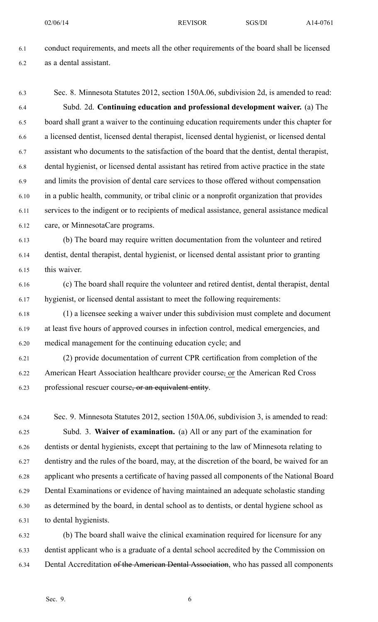- 6.1 conduct requirements, and meets all the other requirements of the board shall be licensed 6.2 as <sup>a</sup> dental assistant.
- 6.3 Sec. 8. Minnesota Statutes 2012, section 150A.06, subdivision 2d, is amended to read: 6.4 Subd. 2d. **Continuing education and professional development waiver.** (a) The 6.5 board shall gran<sup>t</sup> <sup>a</sup> waiver to the continuing education requirements under this chapter for 6.6 <sup>a</sup> licensed dentist, licensed dental therapist, licensed dental hygienist, or licensed dental 6.7 assistant who documents to the satisfaction of the board that the dentist, dental therapist, 6.8 dental hygienist, or licensed dental assistant has retired from active practice in the state 6.9 and limits the provision of dental care services to those offered without compensation 6.10 in <sup>a</sup> public health, community, or tribal clinic or <sup>a</sup> nonprofit organization that provides 6.11 services to the indigent or to recipients of medical assistance, general assistance medical 6.12 care, or MinnesotaCare programs.
- 6.13 (b) The board may require written documentation from the volunteer and retired 6.14 dentist, dental therapist, dental hygienist, or licensed dental assistant prior to granting 6.15 this waiver.
- 6.16 (c) The board shall require the volunteer and retired dentist, dental therapist, dental 6.17 hygienist, or licensed dental assistant to meet the following requirements:
- 6.18 (1) <sup>a</sup> licensee seeking <sup>a</sup> waiver under this subdivision must complete and document 6.19 at least five hours of approved courses in infection control, medical emergencies, and 6.20 medical managemen<sup>t</sup> for the continuing education cycle; and
- 6.21 (2) provide documentation of current CPR certification from completion of the 6.22 American Heart Association healthcare provider course, or the American Red Cross 6.23 professional rescuer course, or an equivalent entity.
- 6.24 Sec. 9. Minnesota Statutes 2012, section 150A.06, subdivision 3, is amended to read: 6.25 Subd. 3. **Waiver of examination.** (a) All or any par<sup>t</sup> of the examination for 6.26 dentists or dental hygienists, excep<sup>t</sup> that pertaining to the law of Minnesota relating to 6.27 dentistry and the rules of the board, may, at the discretion of the board, be waived for an 6.28 applicant who presents <sup>a</sup> certificate of having passed all components of the National Board 6.29 Dental Examinations or evidence of having maintained an adequate scholastic standing 6.30 as determined by the board, in dental school as to dentists, or dental hygiene school as 6.31 to dental hygienists.
- 6.32 (b) The board shall waive the clinical examination required for licensure for any 6.33 dentist applicant who is <sup>a</sup> graduate of <sup>a</sup> dental school accredited by the Commission on 6.34 Dental Accreditation of the American Dental Association, who has passed all components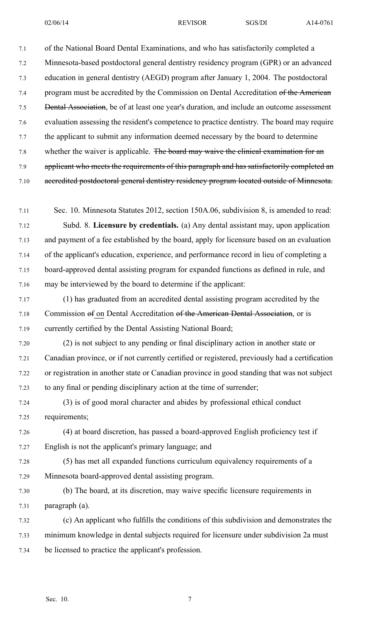7.1 of the National Board Dental Examinations, and who has satisfactorily completed <sup>a</sup> 7.2 Minnesota-based postdoctoral general dentistry residency program (GPR) or an advanced 7.3 education in general dentistry (AEGD) program after January 1, 2004. The postdoctoral 7.4 program must be accredited by the Commission on Dental Accreditation of the American 7.5 Dental Association, be of at least one year's duration, and include an outcome assessment 7.6 evaluation assessing the resident's competence to practice dentistry. The board may require 7.7 the applicant to submit any information deemed necessary by the board to determine 7.8 whether the waiver is applicable. The board may waive the clinical examination for an 7.9 applicant who meets the requirements of this paragraph and has satisfactorily completed an 7.10 accredited postdoctoral general dentistry residency program located outside of Minnesota.

7.11 Sec. 10. Minnesota Statutes 2012, section 150A.06, subdivision 8, is amended to read: 7.12 Subd. 8. **Licensure by credentials.** (a) Any dental assistant may, upon application 7.13 and paymen<sup>t</sup> of <sup>a</sup> fee established by the board, apply for licensure based on an evaluation 7.14 of the applicant's education, experience, and performance record in lieu of completing <sup>a</sup> 7.15 board-approved dental assisting program for expanded functions as defined in rule, and 7.16 may be interviewed by the board to determine if the applicant:

7.17 (1) has graduated from an accredited dental assisting program accredited by the 7.18 Commission of on Dental Accreditation of the American Dental Association, or is 7.19 currently certified by the Dental Assisting National Board;

7.20 (2) is not subject to any pending or final disciplinary action in another state or 7.21 Canadian province, or if not currently certified or registered, previously had <sup>a</sup> certification 7.22 or registration in another state or Canadian province in good standing that was not subject 7.23 to any final or pending disciplinary action at the time of surrender;

7.24 (3) is of good moral character and abides by professional ethical conduct 7.25 requirements;

7.26 (4) at board discretion, has passed <sup>a</sup> board-approved English proficiency test if 7.27 English is not the applicant's primary language; and

7.28 (5) has met all expanded functions curriculum equivalency requirements of <sup>a</sup> 7.29 Minnesota board-approved dental assisting program.

7.30 (b) The board, at its discretion, may waive specific licensure requirements in 7.31 paragraph (a).

7.32 (c) An applicant who fulfills the conditions of this subdivision and demonstrates the 7.33 minimum knowledge in dental subjects required for licensure under subdivision 2a must 7.34 be licensed to practice the applicant's profession.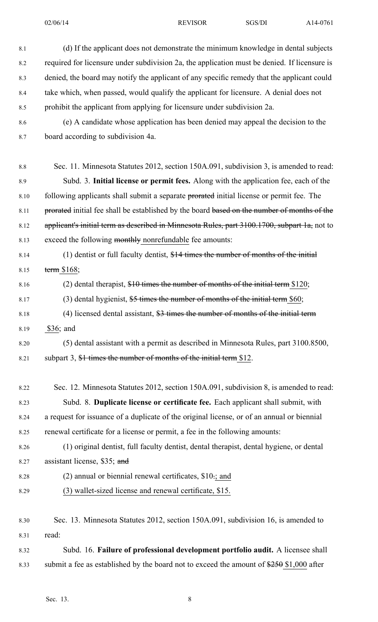| 8.1     | (d) If the applicant does not demonstrate the minimum knowledge in dental subjects           |
|---------|----------------------------------------------------------------------------------------------|
| 8.2     | required for licensure under subdivision 2a, the application must be denied. If licensure is |
| 8.3     | denied, the board may notify the applicant of any specific remedy that the applicant could   |
| 8.4     | take which, when passed, would qualify the applicant for licensure. A denial does not        |
| 8.5     | prohibit the applicant from applying for licensure under subdivision 2a.                     |
| 8.6     | (e) A candidate whose application has been denied may appeal the decision to the             |
| 8.7     | board according to subdivision 4a.                                                           |
|         |                                                                                              |
| $8.8\,$ | Sec. 11. Minnesota Statutes 2012, section 150A.091, subdivision 3, is amended to read:       |
| 8.9     | Subd. 3. Initial license or permit fees. Along with the application fee, each of the         |
| 8.10    | following applicants shall submit a separate prorated initial license or permit fee. The     |
| 8.11    | prorated initial fee shall be established by the board based on the number of months of the  |
| 8.12    | applicant's initial term as described in Minnesota Rules, part 3100.1700, subpart 1a, not to |
| 8.13    | exceed the following monthly nonrefundable fee amounts:                                      |
| 8.14    | $(1)$ dentist or full faculty dentist, \$14 times the number of months of the initial        |
| 8.15    | term $$168;$                                                                                 |
| 8.16    | $(2)$ dental therapist, \$10 times the number of months of the initial term \$120;           |
| 8.17    | $(3)$ dental hygienist, \$5 times the number of months of the initial term \$60;             |
| 8.18    | $(4)$ licensed dental assistant, $$3$ times the number of months of the initial term         |
| 8.19    | $$36$ ; and                                                                                  |
| 8.20    | (5) dental assistant with a permit as described in Minnesota Rules, part 3100.8500,          |
| 8.21    | subpart 3, \$1 times the number of months of the initial term \$12.                          |
|         |                                                                                              |
| 8.22    | Sec. 12. Minnesota Statutes 2012, section 150A.091, subdivision 8, is amended to read:       |
| 8.23    | Subd. 8. Duplicate license or certificate fee. Each applicant shall submit, with             |
| 8.24    | a request for issuance of a duplicate of the original license, or of an annual or biennial   |
| 8.25    | renewal certificate for a license or permit, a fee in the following amounts:                 |
| 8.26    | (1) original dentist, full faculty dentist, dental therapist, dental hygiene, or dental      |
| 8.27    | assistant license, \$35; and                                                                 |
| 8.28    | $(2)$ annual or biennial renewal certificates, \$10-; and                                    |
| 8.29    | (3) wallet-sized license and renewal certificate, \$15.                                      |
| 8.30    | Sec. 13. Minnesota Statutes 2012, section 150A.091, subdivision 16, is amended to            |
| 8.31    | read:                                                                                        |
| 8.32    | Subd. 16. Failure of professional development portfolio audit. A licensee shall              |

8.33 submit a fee as established by the board not to exceed the amount of \$250 \$1,000 after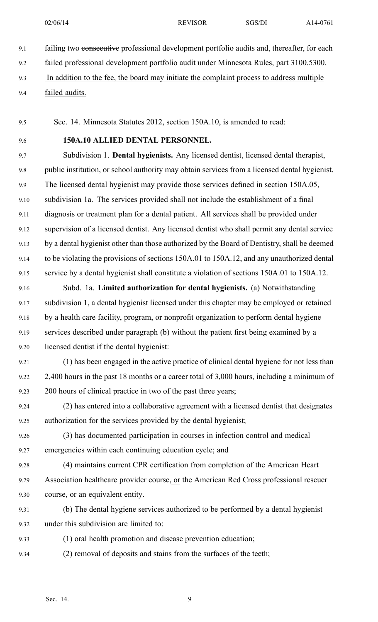9.1 failing two consecutive professional development portfolio audits and, thereafter, for each

9.2 failed professional development portfolio audit under Minnesota Rules, par<sup>t</sup> 3100.5300.

## 9.3 In addition to the fee, the board may initiate the complaint process to address multiple

9.4 failed audits.

9.5 Sec. 14. Minnesota Statutes 2012, section 150A.10, is amended to read:

## 9.6 **150A.10 ALLIED DENTAL PERSONNEL.**

9.7 Subdivision 1. **Dental hygienists.** Any licensed dentist, licensed dental therapist, 9.8 public institution, or school authority may obtain services from <sup>a</sup> licensed dental hygienist. 9.9 The licensed dental hygienist may provide those services defined in section 150A.05, 9.10 subdivision 1a. The services provided shall not include the establishment of <sup>a</sup> final 9.11 diagnosis or treatment plan for <sup>a</sup> dental patient. All services shall be provided under 9.12 supervision of <sup>a</sup> licensed dentist. Any licensed dentist who shall permit any dental service 9.13 by <sup>a</sup> dental hygienist other than those authorized by the Board of Dentistry, shall be deemed 9.14 to be violating the provisions of sections 150A.01 to 150A.12, and any unauthorized dental 9.15 service by <sup>a</sup> dental hygienist shall constitute <sup>a</sup> violation of sections 150A.01 to 150A.12.

9.16 Subd. 1a. **Limited authorization for dental hygienists.** (a) Notwithstanding 9.17 subdivision 1, <sup>a</sup> dental hygienist licensed under this chapter may be employed or retained 9.18 by <sup>a</sup> health care facility, program, or nonprofit organization to perform dental hygiene 9.19 services described under paragraph (b) without the patient first being examined by <sup>a</sup> 9.20 licensed dentist if the dental hygienist:

9.21 (1) has been engaged in the active practice of clinical dental hygiene for not less than 9.22 2,400 hours in the pas<sup>t</sup> 18 months or <sup>a</sup> career total of 3,000 hours, including <sup>a</sup> minimum of 9.23 200 hours of clinical practice in two of the pas<sup>t</sup> three years;

- 9.24 (2) has entered into <sup>a</sup> collaborative agreemen<sup>t</sup> with <sup>a</sup> licensed dentist that designates 9.25 authorization for the services provided by the dental hygienist;
- 9.26 (3) has documented participation in courses in infection control and medical 9.27 emergencies within each continuing education cycle; and
- 9.28 (4) maintains current CPR certification from completion of the American Heart
- 9.29 Association healthcare provider course, or the American Red Cross professional rescuer 9.30 course, or an equivalent entity.
- 9.31 (b) The dental hygiene services authorized to be performed by <sup>a</sup> dental hygienist 9.32 under this subdivision are limited to:
- 9.33 (1) oral health promotion and disease prevention education;
- 9.34 (2) removal of deposits and stains from the surfaces of the teeth;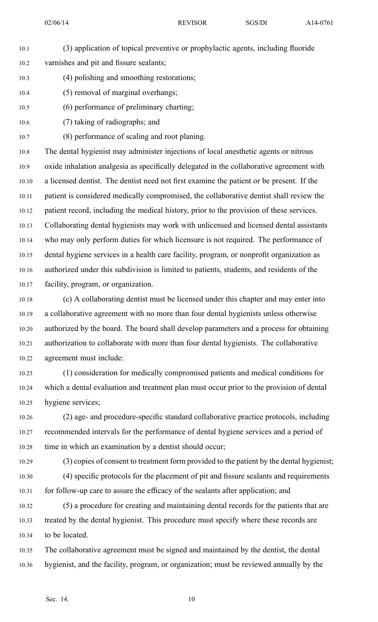10.1 (3) application of topical preventive or prophylactic agents, including fluoride

10.2 varnishes and pit and fissure sealants;

- 10.3 (4) polishing and smoothing restorations;
- 10.4 (5) removal of marginal overhangs;
- 10.5 (6) performance of preliminary charting;
- 10.6 (7) taking of radiographs; and

10.7 (8) performance of scaling and root planing.

10.8 The dental hygienist may administer injections of local anesthetic agents or nitrous 10.9 oxide inhalation analgesia as specifically delegated in the collaborative agreemen<sup>t</sup> with 10.10 <sup>a</sup> licensed dentist. The dentist need not first examine the patient or be present. If the 10.11 patient is considered medically compromised, the collaborative dentist shall review the 10.12 patient record, including the medical history, prior to the provision of these services. 10.13 Collaborating dental hygienists may work with unlicensed and licensed dental assistants 10.14 who may only perform duties for which licensure is not required. The performance of 10.15 dental hygiene services in <sup>a</sup> health care facility, program, or nonprofit organization as 10.16 authorized under this subdivision is limited to patients, students, and residents of the 10.17 facility, program, or organization.

- 10.18 (c) A collaborating dentist must be licensed under this chapter and may enter into 10.19 <sup>a</sup> collaborative agreemen<sup>t</sup> with no more than four dental hygienists unless otherwise 10.20 authorized by the board. The board shall develop parameters and <sup>a</sup> process for obtaining 10.21 authorization to collaborate with more than four dental hygienists. The collaborative 10.22 agreemen<sup>t</sup> must include:
- 10.23 (1) consideration for medically compromised patients and medical conditions for 10.24 which <sup>a</sup> dental evaluation and treatment plan must occur prior to the provision of dental 10.25 hygiene services;

10.26 (2) age- and procedure-specific standard collaborative practice protocols, including 10.27 recommended intervals for the performance of dental hygiene services and <sup>a</sup> period of 10.28 time in which an examination by <sup>a</sup> dentist should occur;

- 10.29 (3) copies of consent to treatment form provided to the patient by the dental hygienist;
- 10.30 (4) specific protocols for the placement of pit and fissure sealants and requirements 10.31 for follow-up care to assure the efficacy of the sealants after application; and

10.32 (5) <sup>a</sup> procedure for creating and maintaining dental records for the patients that are 10.33 treated by the dental hygienist. This procedure must specify where these records are 10.34 to be located.

10.35 The collaborative agreemen<sup>t</sup> must be signed and maintained by the dentist, the dental 10.36 hygienist, and the facility, program, or organization; must be reviewed annually by the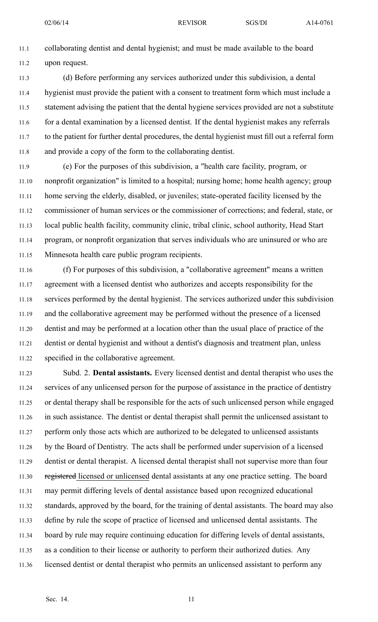11.1 collaborating dentist and dental hygienist; and must be made available to the board 11.2 upon request.

11.3 (d) Before performing any services authorized under this subdivision, <sup>a</sup> dental 11.4 hygienist must provide the patient with <sup>a</sup> consent to treatment form which must include <sup>a</sup> 11.5 statement advising the patient that the dental hygiene services provided are not <sup>a</sup> substitute 11.6 for a dental examination by a licensed dentist. If the dental hygienist makes any referrals 11.7 to the patient for further dental procedures, the dental hygienist must fill out <sup>a</sup> referral form 11.8 and provide <sup>a</sup> copy of the form to the collaborating dentist.

11.9 (e) For the purposes of this subdivision, <sup>a</sup> "health care facility, program, or 11.10 nonprofit organization" is limited to <sup>a</sup> hospital; nursing home; home health agency; group 11.11 home serving the elderly, disabled, or juveniles; state-operated facility licensed by the 11.12 commissioner of human services or the commissioner of corrections; and federal, state, or 11.13 local public health facility, community clinic, tribal clinic, school authority, Head Start 11.14 program, or nonprofit organization that serves individuals who are uninsured or who are 11.15 Minnesota health care public program recipients.

11.16 (f) For purposes of this subdivision, <sup>a</sup> "collaborative agreement" means <sup>a</sup> written 11.17 agreemen<sup>t</sup> with <sup>a</sup> licensed dentist who authorizes and accepts responsibility for the 11.18 services performed by the dental hygienist. The services authorized under this subdivision 11.19 and the collaborative agreemen<sup>t</sup> may be performed without the presence of <sup>a</sup> licensed 11.20 dentist and may be performed at <sup>a</sup> location other than the usual place of practice of the 11.21 dentist or dental hygienist and without <sup>a</sup> dentist's diagnosis and treatment plan, unless 11.22 specified in the collaborative agreement.

11.23 Subd. 2. **Dental assistants.** Every licensed dentist and dental therapist who uses the 11.24 services of any unlicensed person for the purpose of assistance in the practice of dentistry 11.25 or dental therapy shall be responsible for the acts of such unlicensed person while engaged 11.26 in such assistance. The dentist or dental therapist shall permit the unlicensed assistant to 11.27 perform only those acts which are authorized to be delegated to unlicensed assistants 11.28 by the Board of Dentistry. The acts shall be performed under supervision of <sup>a</sup> licensed 11.29 dentist or dental therapist. A licensed dental therapist shall not supervise more than four 11.30 registered licensed or unlicensed dental assistants at any one practice setting. The board 11.31 may permit differing levels of dental assistance based upon recognized educational 11.32 standards, approved by the board, for the training of dental assistants. The board may also 11.33 define by rule the scope of practice of licensed and unlicensed dental assistants. The 11.34 board by rule may require continuing education for differing levels of dental assistants, 11.35 as <sup>a</sup> condition to their license or authority to perform their authorized duties. Any 11.36 licensed dentist or dental therapist who permits an unlicensed assistant to perform any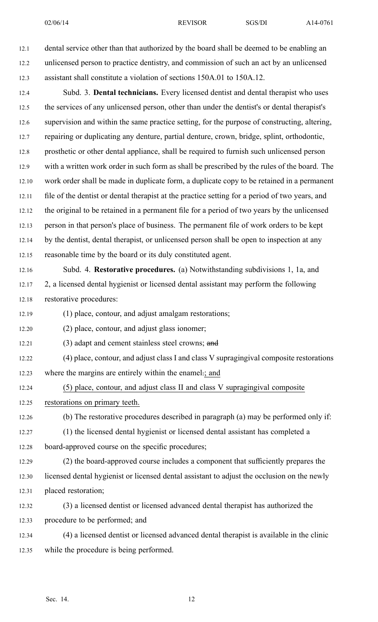12.1 dental service other than that authorized by the board shall be deemed to be enabling an 12.2 unlicensed person to practice dentistry, and commission of such an act by an unlicensed 12.3 assistant shall constitute <sup>a</sup> violation of sections 150A.01 to 150A.12. 12.4 Subd. 3. **Dental technicians.** Every licensed dentist and dental therapist who uses 12.5 the services of any unlicensed person, other than under the dentist's or dental therapist's 12.6 supervision and within the same practice setting, for the purpose of constructing, altering, 12.7 repairing or duplicating any denture, partial denture, crown, bridge, splint, orthodontic, 12.8 prosthetic or other dental appliance, shall be required to furnish such unlicensed person 12.9 with <sup>a</sup> written work order in such form as shall be prescribed by the rules of the board. The 12.10 work order shall be made in duplicate form, <sup>a</sup> duplicate copy to be retained in <sup>a</sup> permanen<sup>t</sup> 12.11 file of the dentist or dental therapist at the practice setting for <sup>a</sup> period of two years, and 12.12 the original to be retained in <sup>a</sup> permanen<sup>t</sup> file for <sup>a</sup> period of two years by the unlicensed 12.13 person in that person's place of business. The permanen<sup>t</sup> file of work orders to be kept 12.14 by the dentist, dental therapist, or unlicensed person shall be open to inspection at any 12.15 reasonable time by the board or its duly constituted agent. 12.16 Subd. 4. **Restorative procedures.** (a) Notwithstanding subdivisions 1, 1a, and 12.17 2, <sup>a</sup> licensed dental hygienist or licensed dental assistant may perform the following 12.18 restorative procedures: 12.19 (1) place, contour, and adjust amalgam restorations; 12.20 (2) place, contour, and adjust glass ionomer; 12.21 (3) adapt and cement stainless steel crowns; and 12.22 (4) place, contour, and adjust class I and class V supragingival composite restorations 12.23 where the margins are entirely within the enamel-; and 12.24 (5) place, contour, and adjust class II and class V supragingival composite 12.25 restorations on primary teeth. 12.26 (b) The restorative procedures described in paragraph (a) may be performed only if: 12.27 (1) the licensed dental hygienist or licensed dental assistant has completed <sup>a</sup> 12.28 board-approved course on the specific procedures; 12.29 (2) the board-approved course includes <sup>a</sup> componen<sup>t</sup> that sufficiently prepares the 12.30 licensed dental hygienist or licensed dental assistant to adjust the occlusion on the newly 12.31 placed restoration; 12.32 (3) <sup>a</sup> licensed dentist or licensed advanced dental therapist has authorized the 12.33 procedure to be performed; and 12.34 (4) <sup>a</sup> licensed dentist or licensed advanced dental therapist is available in the clinic 12.35 while the procedure is being performed. Sec. 14. 12